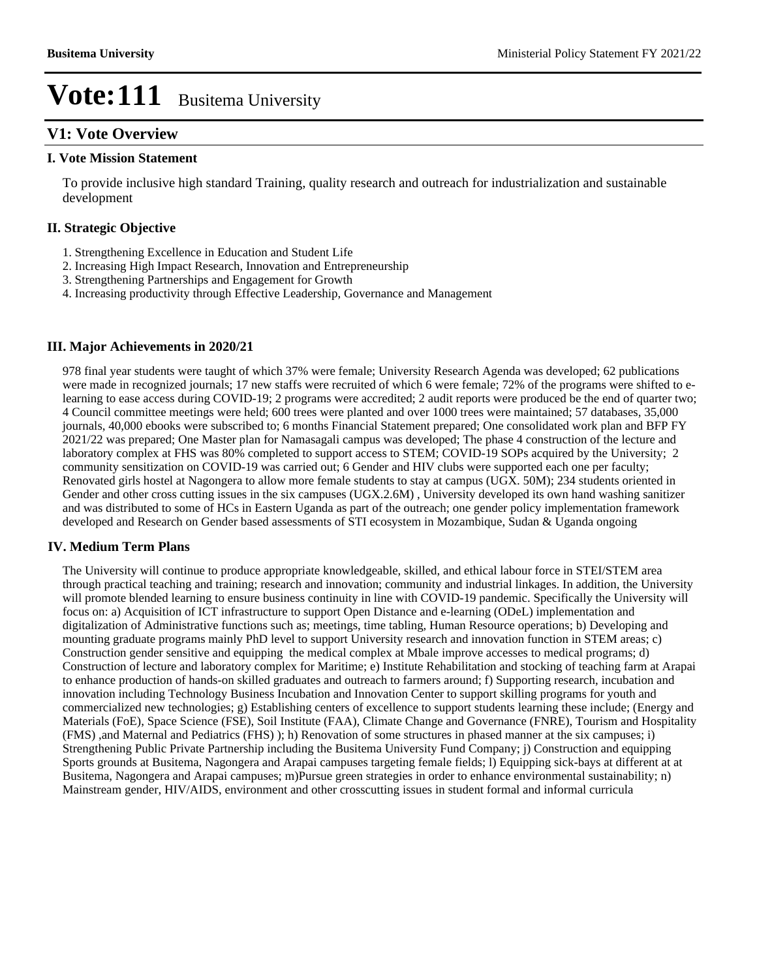### **V1: Vote Overview**

#### **I. Vote Mission Statement**

To provide inclusive high standard Training, quality research and outreach for industrialization and sustainable development

#### **II. Strategic Objective**

- 1. Strengthening Excellence in Education and Student Life
- 2. Increasing High Impact Research, Innovation and Entrepreneurship
- 3. Strengthening Partnerships and Engagement for Growth
- 4. Increasing productivity through Effective Leadership, Governance and Management

#### **III. Major Achievements in 2020/21**

978 final year students were taught of which 37% were female; University Research Agenda was developed; 62 publications were made in recognized journals; 17 new staffs were recruited of which 6 were female; 72% of the programs were shifted to elearning to ease access during COVID-19; 2 programs were accredited; 2 audit reports were produced be the end of quarter two; 4 Council committee meetings were held; 600 trees were planted and over 1000 trees were maintained; 57 databases, 35,000 journals, 40,000 ebooks were subscribed to; 6 months Financial Statement prepared; One consolidated work plan and BFP FY 2021/22 was prepared; One Master plan for Namasagali campus was developed; The phase 4 construction of the lecture and laboratory complex at FHS was 80% completed to support access to STEM; COVID-19 SOPs acquired by the University; 2 community sensitization on COVID-19 was carried out; 6 Gender and HIV clubs were supported each one per faculty; Renovated girls hostel at Nagongera to allow more female students to stay at campus (UGX. 50M); 234 students oriented in Gender and other cross cutting issues in the six campuses (UGX.2.6M) , University developed its own hand washing sanitizer and was distributed to some of HCs in Eastern Uganda as part of the outreach; one gender policy implementation framework developed and Research on Gender based assessments of STI ecosystem in Mozambique, Sudan & Uganda ongoing

#### **IV. Medium Term Plans**

The University will continue to produce appropriate knowledgeable, skilled, and ethical labour force in STEI/STEM area through practical teaching and training; research and innovation; community and industrial linkages. In addition, the University will promote blended learning to ensure business continuity in line with COVID-19 pandemic. Specifically the University will focus on: a) Acquisition of ICT infrastructure to support Open Distance and e-learning (ODeL) implementation and digitalization of Administrative functions such as; meetings, time tabling, Human Resource operations; b) Developing and mounting graduate programs mainly PhD level to support University research and innovation function in STEM areas; c) Construction gender sensitive and equipping the medical complex at Mbale improve accesses to medical programs; d) Construction of lecture and laboratory complex for Maritime; e) Institute Rehabilitation and stocking of teaching farm at Arapai to enhance production of hands-on skilled graduates and outreach to farmers around; f) Supporting research, incubation and innovation including Technology Business Incubation and Innovation Center to support skilling programs for youth and commercialized new technologies; g) Establishing centers of excellence to support students learning these include; (Energy and Materials (FoE), Space Science (FSE), Soil Institute (FAA), Climate Change and Governance (FNRE), Tourism and Hospitality (FMS) ,and Maternal and Pediatrics (FHS) ); h) Renovation of some structures in phased manner at the six campuses; i) Strengthening Public Private Partnership including the Busitema University Fund Company; j) Construction and equipping Sports grounds at Busitema, Nagongera and Arapai campuses targeting female fields; l) Equipping sick-bays at different at at Busitema, Nagongera and Arapai campuses; m)Pursue green strategies in order to enhance environmental sustainability; n) Mainstream gender, HIV/AIDS, environment and other crosscutting issues in student formal and informal curricula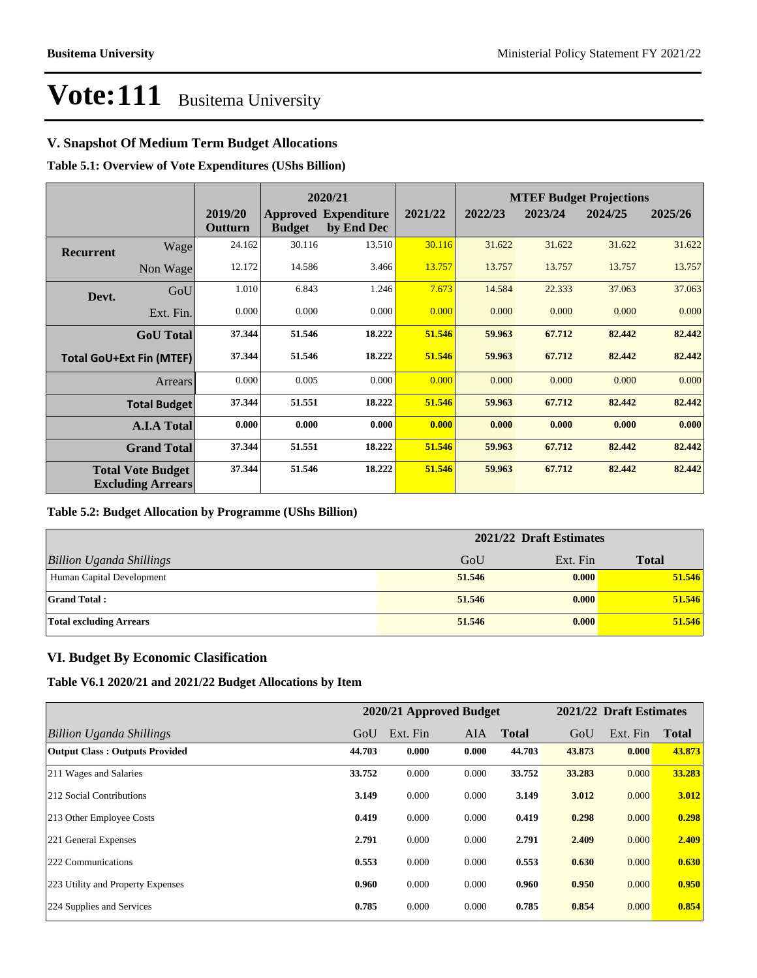### **V. Snapshot Of Medium Term Budget Allocations**

**Table 5.1: Overview of Vote Expenditures (UShs Billion)**

|                  |                                                      |                    |               | 2020/21                                   |         |         |         | <b>MTEF Budget Projections</b> |         |
|------------------|------------------------------------------------------|--------------------|---------------|-------------------------------------------|---------|---------|---------|--------------------------------|---------|
|                  |                                                      | 2019/20<br>Outturn | <b>Budget</b> | <b>Approved Expenditure</b><br>by End Dec | 2021/22 | 2022/23 | 2023/24 | 2024/25                        | 2025/26 |
| <b>Recurrent</b> | Wage                                                 | 24.162             | 30.116        | 13.510                                    | 30.116  | 31.622  | 31.622  | 31.622                         | 31.622  |
|                  | Non Wage                                             | 12.172             | 14.586        | 3.466                                     | 13.757  | 13.757  | 13.757  | 13.757                         | 13.757  |
| Devt.            | GoU                                                  | 1.010              | 6.843         | 1.246                                     | 7.673   | 14.584  | 22.333  | 37.063                         | 37.063  |
|                  | Ext. Fin.                                            | 0.000              | 0.000         | 0.000                                     | 0.000   | 0.000   | 0.000   | 0.000                          | 0.000   |
|                  | <b>GoU</b> Total                                     | 37.344             | 51.546        | 18.222                                    | 51.546  | 59.963  | 67.712  | 82.442                         | 82.442  |
|                  | <b>Total GoU+Ext Fin (MTEF)</b>                      | 37.344             | 51.546        | 18.222                                    | 51.546  | 59.963  | 67.712  | 82.442                         | 82.442  |
|                  | <b>Arrears</b>                                       | 0.000              | 0.005         | 0.000                                     | 0.000   | 0.000   | 0.000   | 0.000                          | 0.000   |
|                  | <b>Total Budget</b>                                  | 37.344             | 51.551        | 18.222                                    | 51.546  | 59.963  | 67.712  | 82.442                         | 82.442  |
|                  | <b>A.I.A Total</b>                                   | 0.000              | 0.000         | 0.000                                     | 0.000   | 0.000   | 0.000   | 0.000                          | 0.000   |
|                  | <b>Grand Total</b>                                   | 37.344             | 51.551        | 18.222                                    | 51.546  | 59.963  | 67.712  | 82.442                         | 82.442  |
|                  | <b>Total Vote Budget</b><br><b>Excluding Arrears</b> | 37.344             | 51.546        | 18.222                                    | 51.546  | 59.963  | 67.712  | 82.442                         | 82.442  |

#### **Table 5.2: Budget Allocation by Programme (UShs Billion)**

|                                 | 2021/22 Draft Estimates |          |              |  |  |
|---------------------------------|-------------------------|----------|--------------|--|--|
| <b>Billion Uganda Shillings</b> | GoU                     | Ext. Fin | <b>Total</b> |  |  |
| Human Capital Development       | 51.546                  | 0.000    | 51.546       |  |  |
| <b>Grand Total:</b>             | 51.546                  | 0.000    | 51.546       |  |  |
| <b>Total excluding Arrears</b>  | 51.546                  | 0.000    | 51.546       |  |  |

#### **VI. Budget By Economic Clasification**

**Table V6.1 2020/21 and 2021/22 Budget Allocations by Item**

|                                       |        | 2020/21 Approved Budget |            |              |        | 2021/22 Draft Estimates |              |
|---------------------------------------|--------|-------------------------|------------|--------------|--------|-------------------------|--------------|
| Billion Uganda Shillings              | GoU    | Ext. Fin                | <b>AIA</b> | <b>Total</b> | GoU    | Ext. Fin                | <b>Total</b> |
| <b>Output Class: Outputs Provided</b> | 44.703 | 0.000                   | 0.000      | 44.703       | 43.873 | 0.000                   | 43.873       |
| 211 Wages and Salaries                | 33.752 | 0.000                   | 0.000      | 33.752       | 33.283 | 0.000                   | 33.283       |
| 212 Social Contributions              | 3.149  | 0.000                   | 0.000      | 3.149        | 3.012  | 0.000                   | 3.012        |
| 213 Other Employee Costs              | 0.419  | 0.000                   | 0.000      | 0.419        | 0.298  | 0.000                   | 0.298        |
| 221 General Expenses                  | 2.791  | 0.000                   | 0.000      | 2.791        | 2.409  | 0.000                   | 2.409        |
| 222 Communications                    | 0.553  | 0.000                   | 0.000      | 0.553        | 0.630  | 0.000                   | 0.630        |
| 223 Utility and Property Expenses     | 0.960  | 0.000                   | 0.000      | 0.960        | 0.950  | 0.000                   | 0.950        |
| 224 Supplies and Services             | 0.785  | 0.000                   | 0.000      | 0.785        | 0.854  | 0.000                   | 0.854        |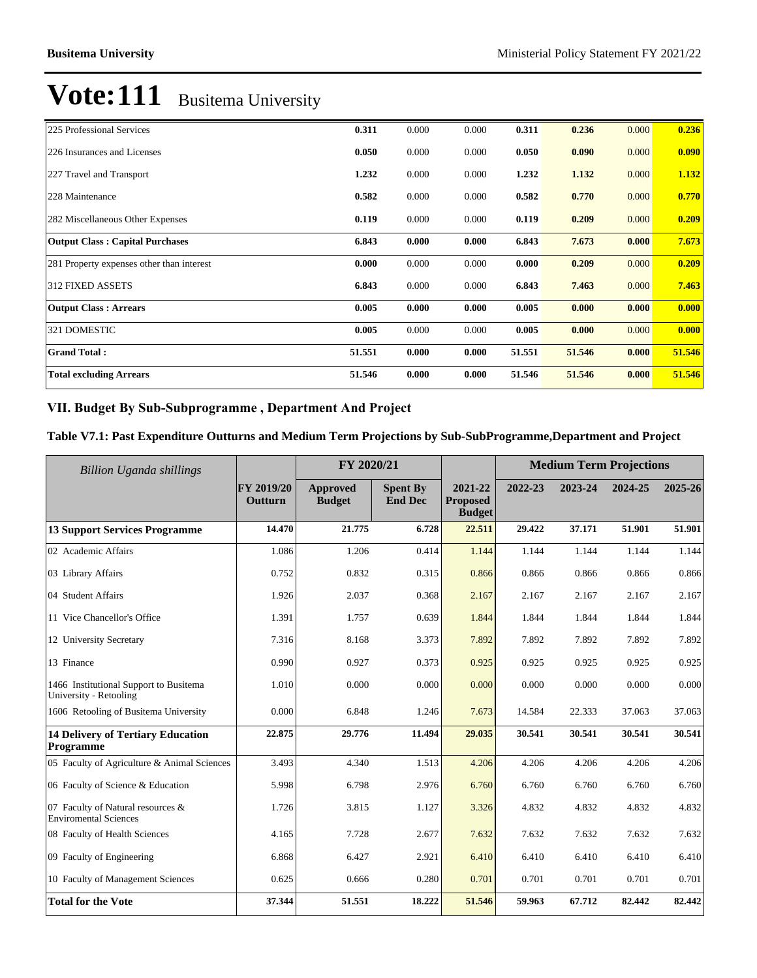| 225 Professional Services                 | 0.311  | 0.000 | 0.000 | 0.311  | 0.236  | 0.000 | 0.236  |
|-------------------------------------------|--------|-------|-------|--------|--------|-------|--------|
| 226 Insurances and Licenses               | 0.050  | 0.000 | 0.000 | 0.050  | 0.090  | 0.000 | 0.090  |
| 227 Travel and Transport                  | 1.232  | 0.000 | 0.000 | 1.232  | 1.132  | 0.000 | 1.132  |
| 228 Maintenance                           | 0.582  | 0.000 | 0.000 | 0.582  | 0.770  | 0.000 | 0.770  |
| 282 Miscellaneous Other Expenses          | 0.119  | 0.000 | 0.000 | 0.119  | 0.209  | 0.000 | 0.209  |
| <b>Output Class: Capital Purchases</b>    | 6.843  | 0.000 | 0.000 | 6.843  | 7.673  | 0.000 | 7.673  |
| 281 Property expenses other than interest | 0.000  | 0.000 | 0.000 | 0.000  | 0.209  | 0.000 | 0.209  |
| <b>312 FIXED ASSETS</b>                   | 6.843  | 0.000 | 0.000 | 6.843  | 7.463  | 0.000 | 7.463  |
| <b>Output Class: Arrears</b>              | 0.005  | 0.000 | 0.000 | 0.005  | 0.000  | 0.000 | 0.000  |
| 321 DOMESTIC                              | 0.005  | 0.000 | 0.000 | 0.005  | 0.000  | 0.000 | 0.000  |
| <b>Grand Total:</b>                       | 51.551 | 0.000 | 0.000 | 51.551 | 51.546 | 0.000 | 51.546 |
| <b>Total excluding Arrears</b>            | 51.546 | 0.000 | 0.000 | 51.546 | 51.546 | 0.000 | 51.546 |

### VII. Budget By Sub-Subprogramme, Department And Project

### **Table V7.1: Past Expenditure Outturns and Medium Term Projections by Sub-SubProgramme,Department and Project**

| <b>Billion Uganda shillings</b>                                   |                              | FY 2020/21                |                                   |                                             | <b>Medium Term Projections</b> |         |         |         |
|-------------------------------------------------------------------|------------------------------|---------------------------|-----------------------------------|---------------------------------------------|--------------------------------|---------|---------|---------|
|                                                                   | <b>FY 2019/20</b><br>Outturn | Approved<br><b>Budget</b> | <b>Spent By</b><br><b>End Dec</b> | 2021-22<br><b>Proposed</b><br><b>Budget</b> | 2022-23                        | 2023-24 | 2024-25 | 2025-26 |
| <b>13 Support Services Programme</b>                              | 14.470                       | 21.775                    | 6.728                             | 22.511                                      | 29.422                         | 37.171  | 51.901  | 51.901  |
| 02 Academic Affairs                                               | 1.086                        | 1.206                     | 0.414                             | 1.144                                       | 1.144                          | 1.144   | 1.144   | 1.144   |
| 03 Library Affairs                                                | 0.752                        | 0.832                     | 0.315                             | 0.866                                       | 0.866                          | 0.866   | 0.866   | 0.866   |
| 04 Student Affairs                                                | 1.926                        | 2.037                     | 0.368                             | 2.167                                       | 2.167                          | 2.167   | 2.167   | 2.167   |
| 11 Vice Chancellor's Office                                       | 1.391                        | 1.757                     | 0.639                             | 1.844                                       | 1.844                          | 1.844   | 1.844   | 1.844   |
| 12 University Secretary                                           | 7.316                        | 8.168                     | 3.373                             | 7.892                                       | 7.892                          | 7.892   | 7.892   | 7.892   |
| 13 Finance                                                        | 0.990                        | 0.927                     | 0.373                             | 0.925                                       | 0.925                          | 0.925   | 0.925   | 0.925   |
| 1466 Institutional Support to Busitema<br>University - Retooling  | 1.010                        | 0.000                     | 0.000                             | 0.000                                       | 0.000                          | 0.000   | 0.000   | 0.000   |
| 1606 Retooling of Busitema University                             | 0.000                        | 6.848                     | 1.246                             | 7.673                                       | 14.584                         | 22.333  | 37.063  | 37.063  |
| <b>14 Delivery of Tertiary Education</b><br>Programme             | 22.875                       | 29.776                    | 11.494                            | 29.035                                      | 30.541                         | 30.541  | 30.541  | 30.541  |
| 05 Faculty of Agriculture & Animal Sciences                       | 3.493                        | 4.340                     | 1.513                             | 4.206                                       | 4.206                          | 4.206   | 4.206   | 4.206   |
| 06 Faculty of Science & Education                                 | 5.998                        | 6.798                     | 2.976                             | 6.760                                       | 6.760                          | 6.760   | 6.760   | 6.760   |
| 07 Faculty of Natural resources &<br><b>Enviromental Sciences</b> | 1.726                        | 3.815                     | 1.127                             | 3.326                                       | 4.832                          | 4.832   | 4.832   | 4.832   |
| 08 Faculty of Health Sciences                                     | 4.165                        | 7.728                     | 2.677                             | 7.632                                       | 7.632                          | 7.632   | 7.632   | 7.632   |
| 09 Faculty of Engineering                                         | 6.868                        | 6.427                     | 2.921                             | 6.410                                       | 6.410                          | 6.410   | 6.410   | 6.410   |
| 10 Faculty of Management Sciences                                 | 0.625                        | 0.666                     | 0.280                             | 0.701                                       | 0.701                          | 0.701   | 0.701   | 0.701   |
| <b>Total for the Vote</b>                                         | 37.344                       | 51.551                    | 18.222                            | 51.546                                      | 59.963                         | 67.712  | 82.442  | 82.442  |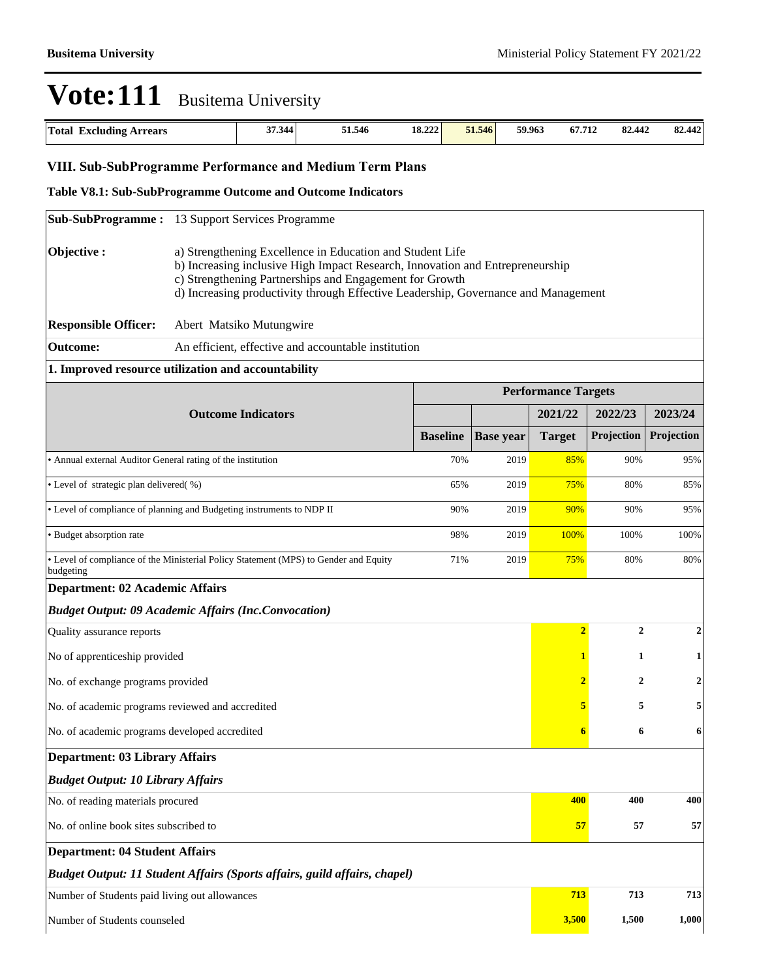| <b>Total</b><br>Excluding.<br><b>Arrears</b> | ,7.344<br>$\sim$ | 51.546 | 18.222 | 51.546 | 59.963 | 67.712 | 82,442 | 442<br>$\Omega$<br>04.774 |
|----------------------------------------------|------------------|--------|--------|--------|--------|--------|--------|---------------------------|

### **VIII. Sub-SubProgramme Performance and Medium Term Plans**

#### **Table V8.1: Sub-SubProgramme Outcome and Outcome Indicators**

|                                                                                                                                                                                                                                                                                                           | <b>Sub-SubProgramme:</b> 13 Support Services Programme                    |                 |                  |                            |                  |                |  |
|-----------------------------------------------------------------------------------------------------------------------------------------------------------------------------------------------------------------------------------------------------------------------------------------------------------|---------------------------------------------------------------------------|-----------------|------------------|----------------------------|------------------|----------------|--|
| Objective:<br>a) Strengthening Excellence in Education and Student Life<br>b) Increasing inclusive High Impact Research, Innovation and Entrepreneurship<br>c) Strengthening Partnerships and Engagement for Growth<br>d) Increasing productivity through Effective Leadership, Governance and Management |                                                                           |                 |                  |                            |                  |                |  |
| <b>Responsible Officer:</b>                                                                                                                                                                                                                                                                               | Abert Matsiko Mutungwire                                                  |                 |                  |                            |                  |                |  |
| <b>Outcome:</b>                                                                                                                                                                                                                                                                                           | An efficient, effective and accountable institution                       |                 |                  |                            |                  |                |  |
|                                                                                                                                                                                                                                                                                                           | 1. Improved resource utilization and accountability                       |                 |                  |                            |                  |                |  |
|                                                                                                                                                                                                                                                                                                           |                                                                           |                 |                  | <b>Performance Targets</b> |                  |                |  |
|                                                                                                                                                                                                                                                                                                           |                                                                           |                 | 2021/22          | 2022/23                    | 2023/24          |                |  |
|                                                                                                                                                                                                                                                                                                           |                                                                           | <b>Baseline</b> | <b>Base year</b> | <b>Target</b>              | Projection       | Projection     |  |
| • Annual external Auditor General rating of the institution                                                                                                                                                                                                                                               |                                                                           | 70%             | 2019             | 85%                        | 90%              | 95%            |  |
| • Level of strategic plan delivered(%)<br>2019<br>65%                                                                                                                                                                                                                                                     |                                                                           |                 |                  |                            | 80%              | 85%            |  |
| • Level of compliance of planning and Budgeting instruments to NDP II<br>90%<br>2019                                                                                                                                                                                                                      |                                                                           |                 |                  |                            | 90%              | 95%            |  |
| · Budget absorption rate<br>98%<br>2019                                                                                                                                                                                                                                                                   |                                                                           |                 |                  |                            | 100%             | 100%           |  |
| • Level of compliance of the Ministerial Policy Statement (MPS) to Gender and Equity<br>2019<br>71%<br>budgeting                                                                                                                                                                                          |                                                                           |                 |                  |                            | 80%              | 80%            |  |
| <b>Department: 02 Academic Affairs</b>                                                                                                                                                                                                                                                                    |                                                                           |                 |                  |                            |                  |                |  |
|                                                                                                                                                                                                                                                                                                           | <b>Budget Output: 09 Academic Affairs (Inc.Convocation)</b>               |                 |                  |                            |                  |                |  |
| Quality assurance reports                                                                                                                                                                                                                                                                                 |                                                                           |                 |                  | $\overline{2}$             | $\boldsymbol{2}$ | 2              |  |
| No of apprenticeship provided                                                                                                                                                                                                                                                                             |                                                                           |                 |                  | 1                          | 1                | 1              |  |
| No. of exchange programs provided                                                                                                                                                                                                                                                                         |                                                                           |                 |                  | 2                          | $\overline{2}$   | $\overline{2}$ |  |
| No. of academic programs reviewed and accredited                                                                                                                                                                                                                                                          |                                                                           |                 |                  | 5                          | 5                | 5              |  |
| No. of academic programs developed accredited                                                                                                                                                                                                                                                             |                                                                           |                 |                  | 6                          | 6                | 6              |  |
| Department: 03 Library Affairs                                                                                                                                                                                                                                                                            |                                                                           |                 |                  |                            |                  |                |  |
| <b>Budget Output: 10 Library Affairs</b>                                                                                                                                                                                                                                                                  |                                                                           |                 |                  |                            |                  |                |  |
| No. of reading materials procured                                                                                                                                                                                                                                                                         |                                                                           |                 |                  |                            | 400<br>400       | 400            |  |
| No. of online book sites subscribed to<br>57<br>57                                                                                                                                                                                                                                                        |                                                                           |                 |                  |                            | 57               |                |  |
| <b>Department: 04 Student Affairs</b>                                                                                                                                                                                                                                                                     |                                                                           |                 |                  |                            |                  |                |  |
|                                                                                                                                                                                                                                                                                                           | Budget Output: 11 Student Affairs (Sports affairs, guild affairs, chapel) |                 |                  |                            |                  |                |  |
| Number of Students paid living out allowances                                                                                                                                                                                                                                                             |                                                                           |                 |                  | 713                        | 713              | 713            |  |
| Number of Students counseled                                                                                                                                                                                                                                                                              |                                                                           |                 |                  |                            | 3,500<br>1,500   | 1,000          |  |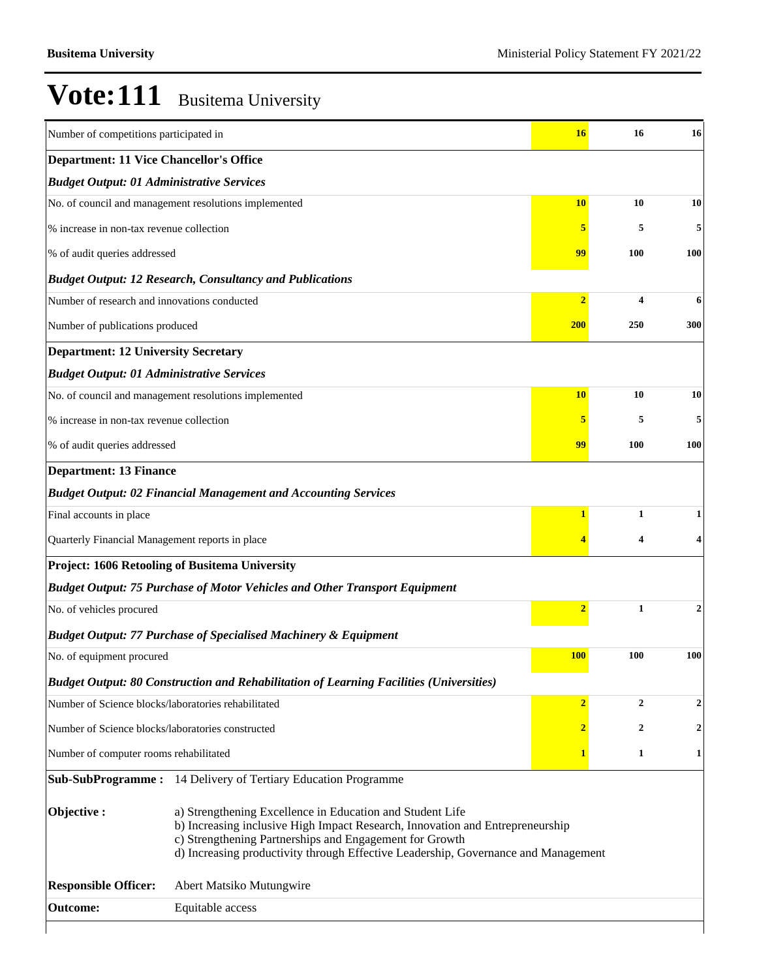| Number of competitions participated in              |                                                                                                                                                                                                                                                                                             | 16             | 16               | 16               |
|-----------------------------------------------------|---------------------------------------------------------------------------------------------------------------------------------------------------------------------------------------------------------------------------------------------------------------------------------------------|----------------|------------------|------------------|
| <b>Department: 11 Vice Chancellor's Office</b>      |                                                                                                                                                                                                                                                                                             |                |                  |                  |
| <b>Budget Output: 01 Administrative Services</b>    |                                                                                                                                                                                                                                                                                             |                |                  |                  |
|                                                     | No. of council and management resolutions implemented                                                                                                                                                                                                                                       | <b>10</b>      | 10               | 10               |
| % increase in non-tax revenue collection            |                                                                                                                                                                                                                                                                                             | 5              | 5                | 5                |
| % of audit queries addressed                        |                                                                                                                                                                                                                                                                                             | 99             | <b>100</b>       | 100              |
|                                                     | <b>Budget Output: 12 Research, Consultancy and Publications</b>                                                                                                                                                                                                                             |                |                  |                  |
| Number of research and innovations conducted        |                                                                                                                                                                                                                                                                                             | $\overline{2}$ | 4                | 6                |
| Number of publications produced                     |                                                                                                                                                                                                                                                                                             | <b>200</b>     | 250              | 300              |
| <b>Department: 12 University Secretary</b>          |                                                                                                                                                                                                                                                                                             |                |                  |                  |
| <b>Budget Output: 01 Administrative Services</b>    |                                                                                                                                                                                                                                                                                             |                |                  |                  |
|                                                     | No. of council and management resolutions implemented                                                                                                                                                                                                                                       | <b>10</b>      | 10               | 10               |
| % increase in non-tax revenue collection            |                                                                                                                                                                                                                                                                                             | 5              | 5                | 5                |
| % of audit queries addressed                        | 99                                                                                                                                                                                                                                                                                          | 100            | 100              |                  |
| <b>Department: 13 Finance</b>                       |                                                                                                                                                                                                                                                                                             |                |                  |                  |
|                                                     | <b>Budget Output: 02 Financial Management and Accounting Services</b>                                                                                                                                                                                                                       |                |                  |                  |
| Final accounts in place                             |                                                                                                                                                                                                                                                                                             | $\mathbf{1}$   | $\mathbf{1}$     | 1                |
| Quarterly Financial Management reports in place     |                                                                                                                                                                                                                                                                                             |                | 4                | 4                |
|                                                     | Project: 1606 Retooling of Busitema University                                                                                                                                                                                                                                              |                |                  |                  |
|                                                     | <b>Budget Output: 75 Purchase of Motor Vehicles and Other Transport Equipment</b>                                                                                                                                                                                                           |                |                  |                  |
| No. of vehicles procured                            |                                                                                                                                                                                                                                                                                             | $\overline{2}$ | $\mathbf{1}$     | $\boldsymbol{2}$ |
|                                                     | <b>Budget Output: 77 Purchase of Specialised Machinery &amp; Equipment</b>                                                                                                                                                                                                                  |                |                  |                  |
| No. of equipment procured                           |                                                                                                                                                                                                                                                                                             | <b>100</b>     | 100              | 100              |
|                                                     | <b>Budget Output: 80 Construction and Rehabilitation of Learning Facilities (Universities)</b>                                                                                                                                                                                              |                |                  |                  |
| Number of Science blocks/laboratories rehabilitated |                                                                                                                                                                                                                                                                                             | $\overline{2}$ | $\overline{2}$   | $\boldsymbol{2}$ |
| Number of Science blocks/laboratories constructed   |                                                                                                                                                                                                                                                                                             | $\mathbf{2}$   | $\boldsymbol{2}$ | $\boldsymbol{2}$ |
| Number of computer rooms rehabilitated              |                                                                                                                                                                                                                                                                                             | $\mathbf{1}$   | 1                | 1                |
|                                                     | Sub-SubProgramme: 14 Delivery of Tertiary Education Programme                                                                                                                                                                                                                               |                |                  |                  |
| Objective:                                          | a) Strengthening Excellence in Education and Student Life<br>b) Increasing inclusive High Impact Research, Innovation and Entrepreneurship<br>c) Strengthening Partnerships and Engagement for Growth<br>d) Increasing productivity through Effective Leadership, Governance and Management |                |                  |                  |
| <b>Responsible Officer:</b>                         | Abert Matsiko Mutungwire                                                                                                                                                                                                                                                                    |                |                  |                  |
| <b>Outcome:</b>                                     | Equitable access                                                                                                                                                                                                                                                                            |                |                  |                  |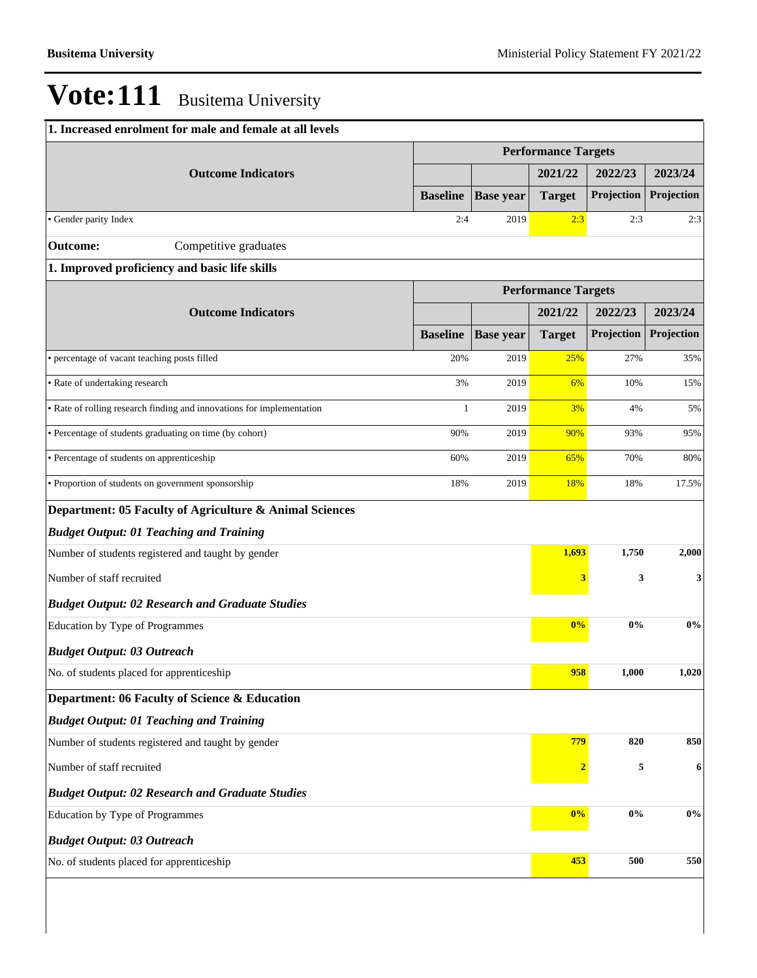| 1. Increased enrolment for male and female at all levels              |                            |                  |                            |            |                  |
|-----------------------------------------------------------------------|----------------------------|------------------|----------------------------|------------|------------------|
|                                                                       |                            |                  | <b>Performance Targets</b> |            |                  |
| <b>Outcome Indicators</b>                                             |                            |                  | 2021/22                    | 2022/23    | 2023/24          |
|                                                                       | <b>Baseline</b>            | <b>Base year</b> | <b>Target</b>              | Projection | Projection       |
| • Gender parity Index                                                 | 2:4                        | 2019             | 2:3                        | 2:3        | 2:3              |
| Competitive graduates<br><b>Outcome:</b>                              |                            |                  |                            |            |                  |
| 1. Improved proficiency and basic life skills                         |                            |                  |                            |            |                  |
|                                                                       | <b>Performance Targets</b> |                  |                            |            |                  |
| <b>Outcome Indicators</b>                                             |                            |                  | 2021/22                    | 2022/23    | 2023/24          |
|                                                                       | <b>Baseline</b>            | <b>Base year</b> | <b>Target</b>              | Projection | Projection       |
| • percentage of vacant teaching posts filled                          | 20%                        | 2019             | 25%                        | 27%        | 35%              |
| • Rate of undertaking research                                        | 3%                         | 2019             | 6%                         | 10%        | 15%              |
| • Rate of rolling research finding and innovations for implementation | 1                          | 2019             | 3%                         | 4%         | 5%               |
| • Percentage of students graduating on time (by cohort)               | 90%                        | 2019             | 90%                        | 93%        | 95%              |
| • Percentage of students on apprenticeship                            | 60%                        | 2019             | 65%                        | 70%        | 80%              |
| · Proportion of students on government sponsorship                    | 18%                        | 2019             | 18%                        | 18%        | 17.5%            |
| Department: 05 Faculty of Agriculture & Animal Sciences               |                            |                  |                            |            |                  |
| <b>Budget Output: 01 Teaching and Training</b>                        |                            |                  |                            |            |                  |
| Number of students registered and taught by gender                    |                            |                  | 1,693                      | 1,750      | 2,000            |
| Number of staff recruited                                             |                            |                  | 3                          | 3          | 3                |
| <b>Budget Output: 02 Research and Graduate Studies</b>                |                            |                  |                            |            |                  |
| Education by Type of Programmes                                       |                            |                  | 0%                         | $0\%$      | $0\%$            |
| <b>Budget Output: 03 Outreach</b>                                     |                            |                  |                            |            |                  |
| No. of students placed for apprenticeship                             |                            |                  | 958                        | 1,000      | 1,020            |
| Department: 06 Faculty of Science & Education                         |                            |                  |                            |            |                  |
| <b>Budget Output: 01 Teaching and Training</b>                        |                            |                  |                            |            |                  |
| Number of students registered and taught by gender                    |                            |                  | 779                        | 820        | 850              |
| Number of staff recruited                                             |                            |                  | $\overline{\mathbf{2}}$    | 5          | $\boldsymbol{6}$ |
| <b>Budget Output: 02 Research and Graduate Studies</b>                |                            |                  |                            |            |                  |
| Education by Type of Programmes                                       |                            |                  | 0%                         | $0\%$      | $0\%$            |
| <b>Budget Output: 03 Outreach</b>                                     |                            |                  |                            |            |                  |
| No. of students placed for apprenticeship                             |                            |                  | 453                        | 500        | 550              |
|                                                                       |                            |                  |                            |            |                  |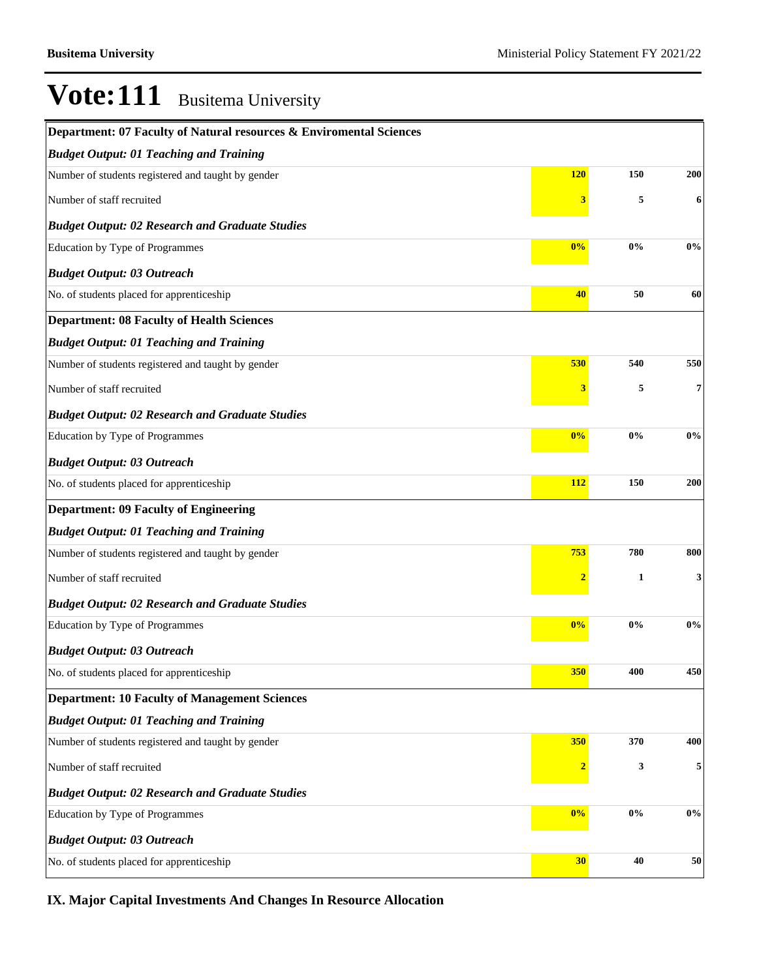| Department: 07 Faculty of Natural resources & Enviromental Sciences |                         |       |            |
|---------------------------------------------------------------------|-------------------------|-------|------------|
| <b>Budget Output: 01 Teaching and Training</b>                      |                         |       |            |
| Number of students registered and taught by gender                  | <b>120</b>              | 150   | <b>200</b> |
| Number of staff recruited                                           | 3                       | 5     | 6          |
| <b>Budget Output: 02 Research and Graduate Studies</b>              |                         |       |            |
| Education by Type of Programmes                                     | 0%                      | 0%    | 0%         |
| <b>Budget Output: 03 Outreach</b>                                   |                         |       |            |
| No. of students placed for apprenticeship                           | 40                      | 50    | 60         |
| <b>Department: 08 Faculty of Health Sciences</b>                    |                         |       |            |
| <b>Budget Output: 01 Teaching and Training</b>                      |                         |       |            |
| Number of students registered and taught by gender                  | 530                     | 540   | 550        |
| Number of staff recruited                                           | 3                       | 5     | 7          |
| <b>Budget Output: 02 Research and Graduate Studies</b>              |                         |       |            |
| Education by Type of Programmes                                     | 0%                      | 0%    | 0%         |
| <b>Budget Output: 03 Outreach</b>                                   |                         |       |            |
| No. of students placed for apprenticeship                           | 112                     | 150   | 200        |
| <b>Department: 09 Faculty of Engineering</b>                        |                         |       |            |
| <b>Budget Output: 01 Teaching and Training</b>                      |                         |       |            |
| Number of students registered and taught by gender                  | 753                     | 780   | 800        |
| Number of staff recruited                                           | $\overline{\mathbf{2}}$ | 1     | 3          |
| <b>Budget Output: 02 Research and Graduate Studies</b>              |                         |       |            |
| Education by Type of Programmes                                     | 0%                      | 0%    | 0%         |
| <b>Budget Output: 03 Outreach</b>                                   |                         |       |            |
| No. of students placed for apprenticeship                           | 350                     | 400   | 450        |
| <b>Department: 10 Faculty of Management Sciences</b>                |                         |       |            |
| <b>Budget Output: 01 Teaching and Training</b>                      |                         |       |            |
| Number of students registered and taught by gender                  | 350                     | 370   | 400        |
| Number of staff recruited                                           | $\overline{\mathbf{2}}$ | 3     | 5          |
| <b>Budget Output: 02 Research and Graduate Studies</b>              |                         |       |            |
| Education by Type of Programmes                                     | 0%                      | $0\%$ | 0%         |
| <b>Budget Output: 03 Outreach</b>                                   |                         |       |            |
| No. of students placed for apprenticeship                           | 30                      | 40    | 50         |

**IX. Major Capital Investments And Changes In Resource Allocation**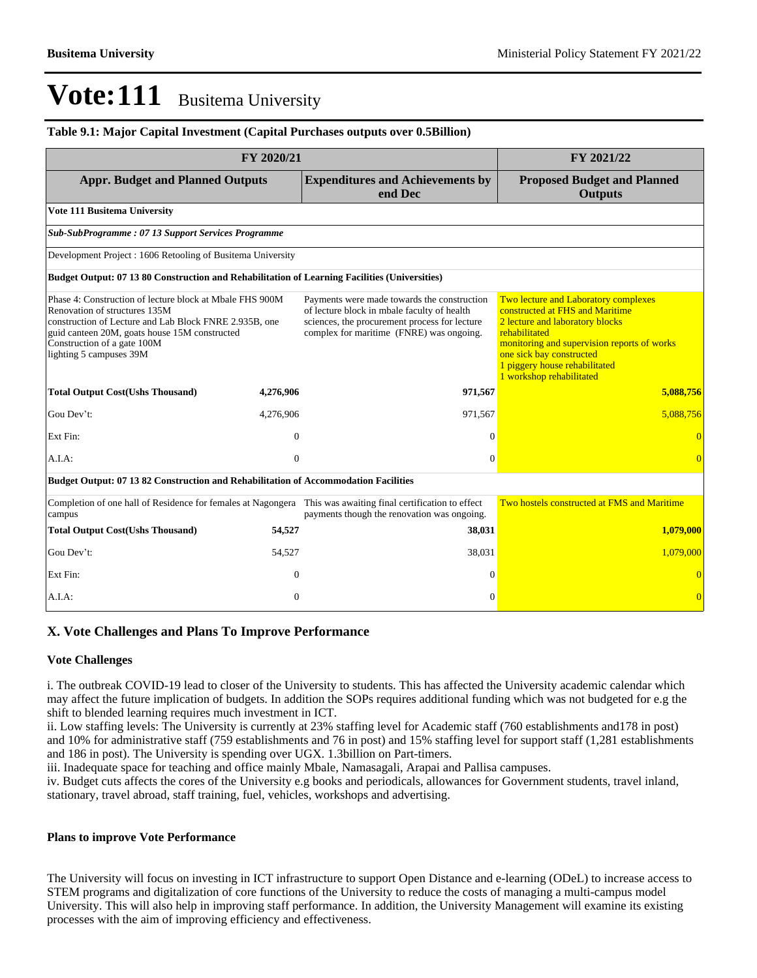#### **Table 9.1: Major Capital Investment (Capital Purchases outputs over 0.5Billion)**

|                                                                                                                                                                                                                                                                | FY 2020/21     |                                                                                                                                                                                         | FY 2021/22                                                                                                                                                                                                                                                          |
|----------------------------------------------------------------------------------------------------------------------------------------------------------------------------------------------------------------------------------------------------------------|----------------|-----------------------------------------------------------------------------------------------------------------------------------------------------------------------------------------|---------------------------------------------------------------------------------------------------------------------------------------------------------------------------------------------------------------------------------------------------------------------|
| <b>Appr. Budget and Planned Outputs</b>                                                                                                                                                                                                                        |                | <b>Expenditures and Achievements by</b><br>end Dec                                                                                                                                      | <b>Proposed Budget and Planned</b><br><b>Outputs</b>                                                                                                                                                                                                                |
| Vote 111 Busitema University                                                                                                                                                                                                                                   |                |                                                                                                                                                                                         |                                                                                                                                                                                                                                                                     |
| Sub-SubProgramme: 07 13 Support Services Programme                                                                                                                                                                                                             |                |                                                                                                                                                                                         |                                                                                                                                                                                                                                                                     |
| Development Project: 1606 Retooling of Busitema University                                                                                                                                                                                                     |                |                                                                                                                                                                                         |                                                                                                                                                                                                                                                                     |
| Budget Output: 07 13 80 Construction and Rehabilitation of Learning Facilities (Universities)                                                                                                                                                                  |                |                                                                                                                                                                                         |                                                                                                                                                                                                                                                                     |
| Phase 4: Construction of lecture block at Mbale FHS 900M<br>Renovation of structures 135M<br>construction of Lecture and Lab Block FNRE 2.935B, one<br>guid canteen 20M, goats house 15M constructed<br>Construction of a gate 100M<br>lighting 5 campuses 39M |                | Payments were made towards the construction<br>of lecture block in mbale faculty of health<br>sciences, the procurement process for lecture<br>complex for maritime (FNRE) was ongoing. | Two lecture and Laboratory complexes<br>constructed at FHS and Maritime<br>2 lecture and laboratory blocks<br>rehabilitated<br>monitoring and supervision reports of works<br>one sick bay constructed<br>1 piggery house rehabilitated<br>1 workshop rehabilitated |
| <b>Total Output Cost(Ushs Thousand)</b>                                                                                                                                                                                                                        | 4,276,906      | 971,567                                                                                                                                                                                 | 5,088,756                                                                                                                                                                                                                                                           |
| Gou Dev't:                                                                                                                                                                                                                                                     | 4,276,906      | 971,567                                                                                                                                                                                 | 5.088.756                                                                                                                                                                                                                                                           |
| Ext Fin:                                                                                                                                                                                                                                                       | $\overline{0}$ | $\Omega$                                                                                                                                                                                |                                                                                                                                                                                                                                                                     |
| A.I.A.                                                                                                                                                                                                                                                         | $\mathbf{0}$   | $\Omega$                                                                                                                                                                                | $\Omega$                                                                                                                                                                                                                                                            |
| <b>Budget Output: 07 13 82 Construction and Rehabilitation of Accommodation Facilities</b>                                                                                                                                                                     |                |                                                                                                                                                                                         |                                                                                                                                                                                                                                                                     |
| Completion of one hall of Residence for females at Nagongera<br>campus                                                                                                                                                                                         |                | This was awaiting final certification to effect<br>payments though the renovation was ongoing.                                                                                          | Two hostels constructed at FMS and Maritime                                                                                                                                                                                                                         |
| <b>Total Output Cost(Ushs Thousand)</b>                                                                                                                                                                                                                        | 54,527         | 38,031                                                                                                                                                                                  | 1,079,000                                                                                                                                                                                                                                                           |
| Gou Dev't:                                                                                                                                                                                                                                                     | 54,527         | 38,031                                                                                                                                                                                  | 1,079,000                                                                                                                                                                                                                                                           |
| Ext Fin:                                                                                                                                                                                                                                                       | $\overline{0}$ | $\Omega$                                                                                                                                                                                |                                                                                                                                                                                                                                                                     |
| A.I.A:                                                                                                                                                                                                                                                         | $\overline{0}$ | $\overline{0}$                                                                                                                                                                          | $\overline{0}$                                                                                                                                                                                                                                                      |

#### **X. Vote Challenges and Plans To Improve Performance**

#### **Vote Challenges**

i. The outbreak COVID-19 lead to closer of the University to students. This has affected the University academic calendar which may affect the future implication of budgets. In addition the SOPs requires additional funding which was not budgeted for e.g the shift to blended learning requires much investment in ICT.

ii. Low staffing levels: The University is currently at 23% staffing level for Academic staff (760 establishments and178 in post) and 10% for administrative staff (759 establishments and 76 in post) and 15% staffing level for support staff (1,281 establishments and 186 in post). The University is spending over UGX. 1.3billion on Part-timers.

iii. Inadequate space for teaching and office mainly Mbale, Namasagali, Arapai and Pallisa campuses.

iv. Budget cuts affects the cores of the University e.g books and periodicals, allowances for Government students, travel inland, stationary, travel abroad, staff training, fuel, vehicles, workshops and advertising.

#### **Plans to improve Vote Performance**

The University will focus on investing in ICT infrastructure to support Open Distance and e-learning (ODeL) to increase access to STEM programs and digitalization of core functions of the University to reduce the costs of managing a multi-campus model University. This will also help in improving staff performance. In addition, the University Management will examine its existing processes with the aim of improving efficiency and effectiveness.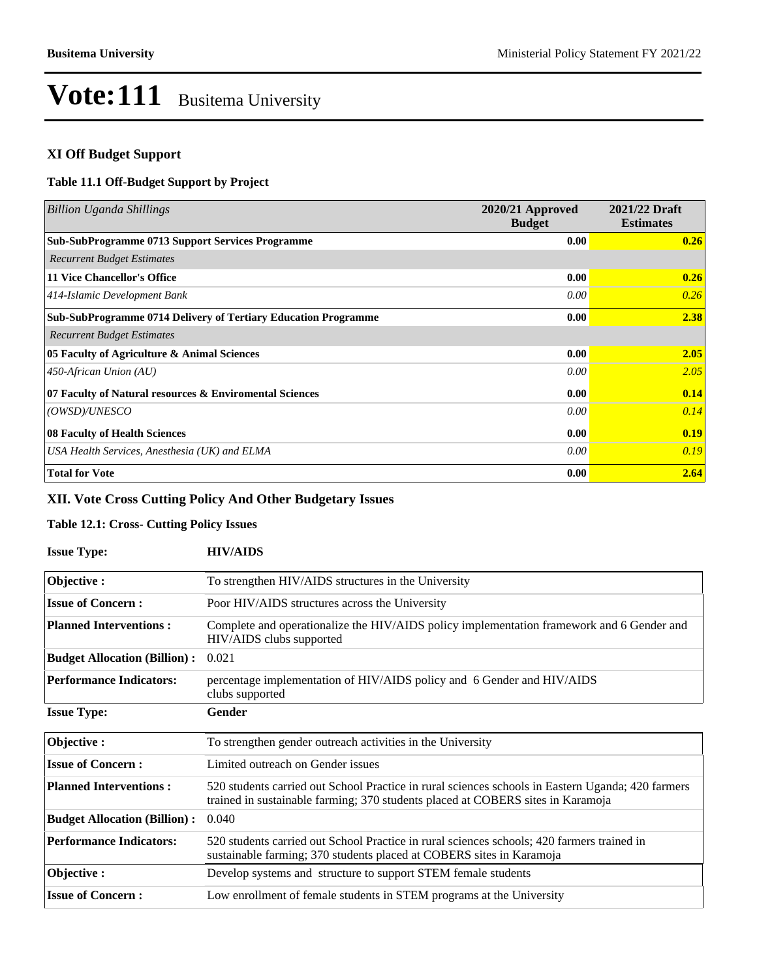#### **XI Off Budget Support**

#### **Table 11.1 Off-Budget Support by Project**

| Billion Uganda Shillings                                              | 2020/21 Approved<br><b>Budget</b> | 2021/22 Draft<br><b>Estimates</b> |
|-----------------------------------------------------------------------|-----------------------------------|-----------------------------------|
| <b>Sub-SubProgramme 0713 Support Services Programme</b>               | 0.00                              | 0.26                              |
| <b>Recurrent Budget Estimates</b>                                     |                                   |                                   |
| <b>11 Vice Chancellor's Office</b>                                    | 0.00                              | 0.26                              |
| 414-Islamic Development Bank                                          | $0.00\,$                          | 0.26                              |
| <b>Sub-SubProgramme 0714 Delivery of Tertiary Education Programme</b> | 0.00                              | 2.38                              |
| <b>Recurrent Budget Estimates</b>                                     |                                   |                                   |
| 05 Faculty of Agriculture & Animal Sciences                           | 0.00                              | 2.05                              |
| $450$ -African Union (AU)                                             | 0.00                              | 2.05                              |
| 07 Faculty of Natural resources & Enviromental Sciences               | 0.00                              | 0.14                              |
| (OWSD)/UNESCO                                                         | 0.00                              | 0.14                              |
| 08 Faculty of Health Sciences                                         | 0.00                              | 0.19                              |
| USA Health Services, Anesthesia (UK) and ELMA                         | 0.00                              | 0.19                              |
| <b>Total for Vote</b>                                                 | 0.00                              | 2.64                              |

### **XII. Vote Cross Cutting Policy And Other Budgetary Issues**

### **Table 12.1: Cross- Cutting Policy Issues**

| <b>Issue Type:</b>                  | <b>HIV/AIDS</b>                                                                                                                                                                      |
|-------------------------------------|--------------------------------------------------------------------------------------------------------------------------------------------------------------------------------------|
| Objective:                          | To strengthen HIV/AIDS structures in the University                                                                                                                                  |
| <b>Issue of Concern:</b>            | Poor HIV/AIDS structures across the University                                                                                                                                       |
| <b>Planned Interventions:</b>       | Complete and operationalize the HIV/AIDS policy implementation framework and 6 Gender and<br>HIV/AIDS clubs supported                                                                |
| <b>Budget Allocation (Billion):</b> | 0.021                                                                                                                                                                                |
| <b>Performance Indicators:</b>      | percentage implementation of HIV/AIDS policy and 6 Gender and HIV/AIDS<br>clubs supported                                                                                            |
| <b>Issue Type:</b>                  | Gender                                                                                                                                                                               |
| Objective:                          | To strengthen gender outreach activities in the University                                                                                                                           |
| <b>Issue of Concern:</b>            | Limited outreach on Gender issues                                                                                                                                                    |
| <b>Planned Interventions:</b>       | 520 students carried out School Practice in rural sciences schools in Eastern Uganda; 420 farmers<br>trained in sustainable farming; 370 students placed at COBERS sites in Karamoja |
| <b>Budget Allocation (Billion):</b> | 0.040                                                                                                                                                                                |
| <b>Performance Indicators:</b>      | 520 students carried out School Practice in rural sciences schools; 420 farmers trained in<br>sustainable farming; 370 students placed at COBERS sites in Karamoja                   |
| Objective :                         | Develop systems and structure to support STEM female students                                                                                                                        |
| <b>Issue of Concern:</b>            | Low enrollment of female students in STEM programs at the University                                                                                                                 |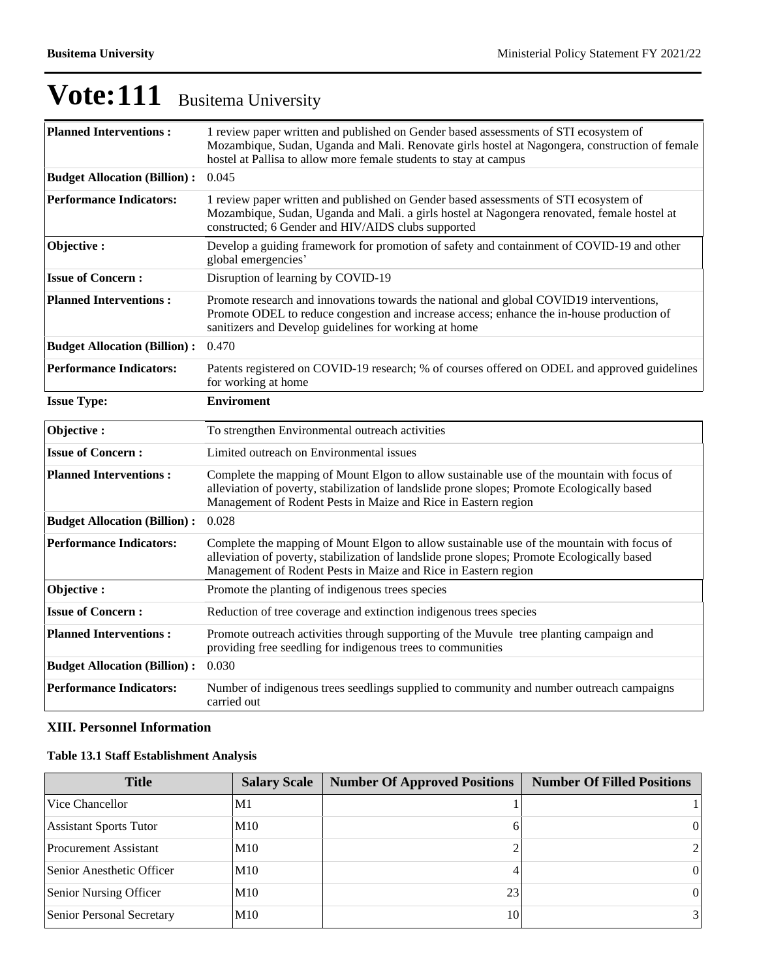| <b>Planned Interventions:</b>       | 1 review paper written and published on Gender based assessments of STI ecosystem of<br>Mozambique, Sudan, Uganda and Mali. Renovate girls hostel at Nagongera, construction of female<br>hostel at Pallisa to allow more female students to stay at campus |  |  |  |  |  |
|-------------------------------------|-------------------------------------------------------------------------------------------------------------------------------------------------------------------------------------------------------------------------------------------------------------|--|--|--|--|--|
| <b>Budget Allocation (Billion):</b> | 0.045                                                                                                                                                                                                                                                       |  |  |  |  |  |
| <b>Performance Indicators:</b>      | 1 review paper written and published on Gender based assessments of STI ecosystem of<br>Mozambique, Sudan, Uganda and Mali. a girls hostel at Nagongera renovated, female hostel at<br>constructed; 6 Gender and HIV/AIDS clubs supported                   |  |  |  |  |  |
| Objective:                          | Develop a guiding framework for promotion of safety and containment of COVID-19 and other<br>global emergencies'                                                                                                                                            |  |  |  |  |  |
| <b>Issue of Concern:</b>            | Disruption of learning by COVID-19                                                                                                                                                                                                                          |  |  |  |  |  |
| <b>Planned Interventions:</b>       | Promote research and innovations towards the national and global COVID19 interventions,<br>Promote ODEL to reduce congestion and increase access; enhance the in-house production of<br>sanitizers and Develop guidelines for working at home               |  |  |  |  |  |
| <b>Budget Allocation (Billion):</b> | 0.470                                                                                                                                                                                                                                                       |  |  |  |  |  |
| <b>Performance Indicators:</b>      | Patents registered on COVID-19 research; % of courses offered on ODEL and approved guidelines<br>for working at home                                                                                                                                        |  |  |  |  |  |
| <b>Issue Type:</b>                  | <b>Enviroment</b>                                                                                                                                                                                                                                           |  |  |  |  |  |
| Objective:                          | To strengthen Environmental outreach activities                                                                                                                                                                                                             |  |  |  |  |  |
| <b>Issue of Concern:</b>            | Limited outreach on Environmental issues                                                                                                                                                                                                                    |  |  |  |  |  |
| <b>Planned Interventions:</b>       | Complete the mapping of Mount Elgon to allow sustainable use of the mountain with focus of<br>alleviation of poverty, stabilization of landslide prone slopes; Promote Ecologically based<br>Management of Rodent Pests in Maize and Rice in Eastern region |  |  |  |  |  |
| <b>Budget Allocation (Billion):</b> | 0.028                                                                                                                                                                                                                                                       |  |  |  |  |  |
| <b>Performance Indicators:</b>      | Complete the mapping of Mount Elgon to allow sustainable use of the mountain with focus of<br>alleviation of poverty, stabilization of landslide prone slopes; Promote Ecologically based<br>Management of Rodent Pests in Maize and Rice in Eastern region |  |  |  |  |  |
| Objective:                          | Promote the planting of indigenous trees species                                                                                                                                                                                                            |  |  |  |  |  |
| <b>Issue of Concern:</b>            | Reduction of tree coverage and extinction indigenous trees species                                                                                                                                                                                          |  |  |  |  |  |
| <b>Planned Interventions:</b>       | Promote outreach activities through supporting of the Muvule tree planting campaign and<br>providing free seedling for indigenous trees to communities                                                                                                      |  |  |  |  |  |
| <b>Budget Allocation (Billion):</b> | 0.030                                                                                                                                                                                                                                                       |  |  |  |  |  |
| <b>Performance Indicators:</b>      | Number of indigenous trees seedlings supplied to community and number outreach campaigns                                                                                                                                                                    |  |  |  |  |  |

### **XIII. Personnel Information**

### **Table 13.1 Staff Establishment Analysis**

| <b>Title</b>                  | <b>Salary Scale</b> | <b>Number Of Approved Positions</b> | <b>Number Of Filled Positions</b> |
|-------------------------------|---------------------|-------------------------------------|-----------------------------------|
| Vice Chancellor               | M1                  |                                     |                                   |
| <b>Assistant Sports Tutor</b> | M10                 |                                     | $\Omega$                          |
| <b>Procurement Assistant</b>  | M10                 |                                     | $\overline{2}$                    |
| Senior Anesthetic Officer     | M10                 |                                     | 0                                 |
| Senior Nursing Officer        | M10                 | 23                                  | $\Omega$                          |
| Senior Personal Secretary     | M10                 | 10                                  | 3 <sup>1</sup>                    |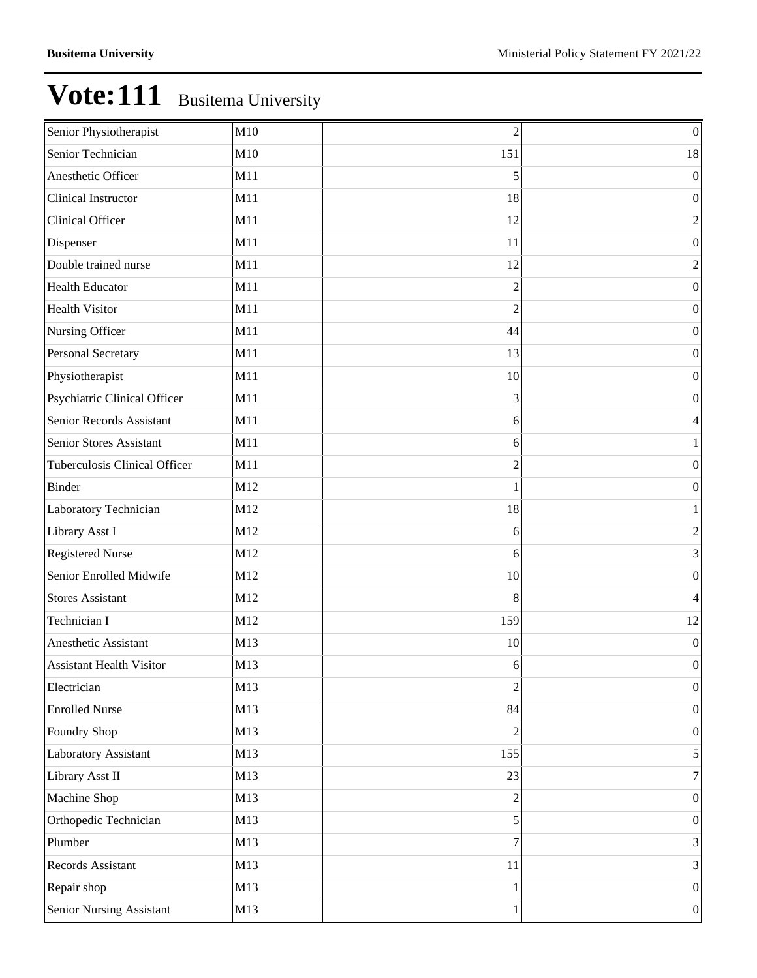| Senior Physiotherapist               | M10 | $\overline{c}$ | $\boldsymbol{0}$ |
|--------------------------------------|-----|----------------|------------------|
| Senior Technician                    | M10 | 151            | 18               |
| Anesthetic Officer                   | M11 | 5              | $\boldsymbol{0}$ |
| Clinical Instructor                  | M11 | 18             | $\boldsymbol{0}$ |
| <b>Clinical Officer</b>              | M11 | 12             | $\mathfrak{2}$   |
| Dispenser                            | M11 | 11             | $\boldsymbol{0}$ |
| Double trained nurse                 | M11 | 12             | $\mathfrak{2}$   |
| <b>Health Educator</b>               | M11 | $\overline{c}$ | $\boldsymbol{0}$ |
| <b>Health Visitor</b>                | M11 | $\overline{2}$ | $\boldsymbol{0}$ |
| Nursing Officer                      | M11 | 44             | $\boldsymbol{0}$ |
| Personal Secretary                   | M11 | 13             | $\boldsymbol{0}$ |
| Physiotherapist                      | M11 | 10             | $\boldsymbol{0}$ |
| Psychiatric Clinical Officer         | M11 | 3              | $\boldsymbol{0}$ |
| Senior Records Assistant             | M11 | 6              | 4                |
| Senior Stores Assistant              | M11 | 6              | $\mathbf{1}$     |
| <b>Tuberculosis Clinical Officer</b> | M11 | $\overline{2}$ | $\boldsymbol{0}$ |
| Binder                               | M12 | 1              | $\boldsymbol{0}$ |
| Laboratory Technician                | M12 | 18             | $\mathbf{1}$     |
| Library Asst I                       | M12 | 6              | $\mathbf{2}$     |
| <b>Registered Nurse</b>              | M12 | 6              | 3                |
| Senior Enrolled Midwife              | M12 | 10             | $\boldsymbol{0}$ |
| <b>Stores Assistant</b>              | M12 | 8              | 4                |
| Technician I                         | M12 | 159            | 12               |
| Anesthetic Assistant                 | M13 | 10             | $\boldsymbol{0}$ |
| <b>Assistant Health Visitor</b>      | M13 | 6              | $\boldsymbol{0}$ |
| Electrician                          | M13 | $\overline{2}$ | $\boldsymbol{0}$ |
| <b>Enrolled Nurse</b>                | M13 | 84             | $\vert 0 \vert$  |
| Foundry Shop                         | M13 | $\overline{2}$ | $\boldsymbol{0}$ |
| Laboratory Assistant                 | M13 | 155            | $\vert 5 \vert$  |
| Library Asst II                      | M13 | 23             | $7\vert$         |
| Machine Shop                         | M13 | 2              | $\vert 0 \vert$  |
| Orthopedic Technician                | M13 | 5              | $\boldsymbol{0}$ |
| Plumber                              | M13 | 7              | $\vert 3 \vert$  |
| Records Assistant                    | M13 | 11             | $\vert 3 \vert$  |
| Repair shop                          | M13 | 1              | $\vert 0 \vert$  |
| Senior Nursing Assistant             | M13 | 1              | $\vert 0 \vert$  |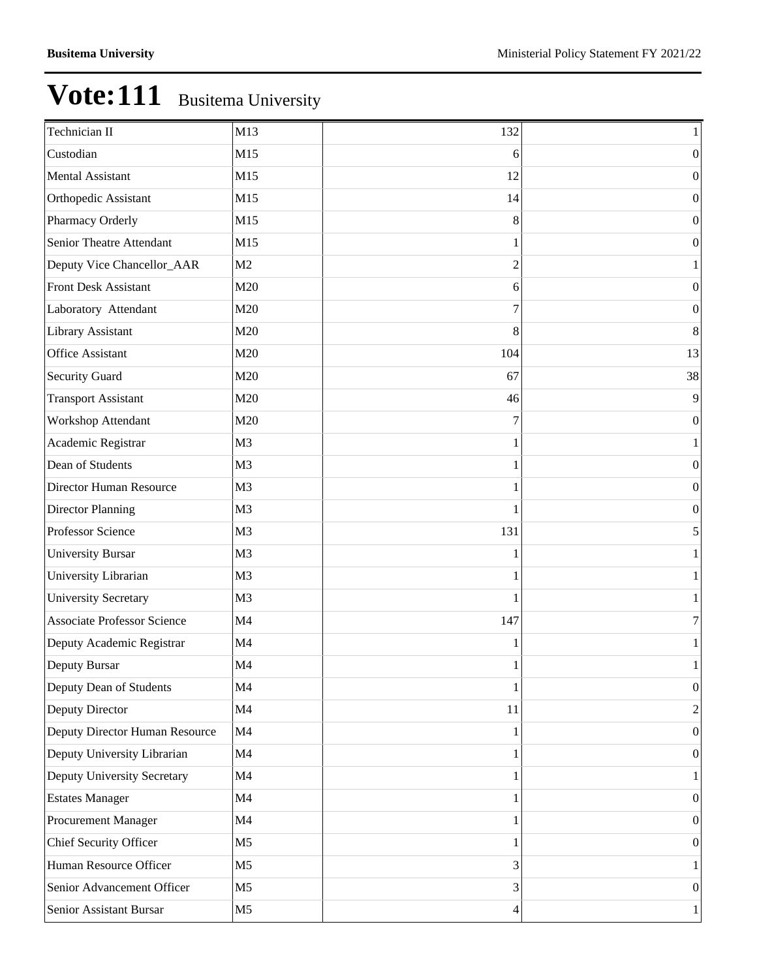| Technician II                      | M13            | 132 | $\mathbf{1}$     |
|------------------------------------|----------------|-----|------------------|
| Custodian                          | M15            | 6   | $\boldsymbol{0}$ |
| <b>Mental Assistant</b>            | M15            | 12  | $\boldsymbol{0}$ |
| Orthopedic Assistant               | M15            | 14  | $\boldsymbol{0}$ |
| Pharmacy Orderly                   | M15            | 8   | $\boldsymbol{0}$ |
| Senior Theatre Attendant           | M15            |     | $\boldsymbol{0}$ |
| Deputy Vice Chancellor_AAR         | M <sub>2</sub> | 2   | 1                |
| <b>Front Desk Assistant</b>        | M20            | 6   | $\boldsymbol{0}$ |
| Laboratory Attendant               | M20            | 7   | $\boldsymbol{0}$ |
| Library Assistant                  | M20            | 8   | $\,8\,$          |
| <b>Office Assistant</b>            | M20            | 104 | 13               |
| <b>Security Guard</b>              | M20            | 67  | 38               |
| <b>Transport Assistant</b>         | M20            | 46  | $\overline{9}$   |
| Workshop Attendant                 | M20            | 7   | $\boldsymbol{0}$ |
| Academic Registrar                 | M <sub>3</sub> |     | 1                |
| Dean of Students                   | M <sub>3</sub> |     | $\boldsymbol{0}$ |
| Director Human Resource            | M <sub>3</sub> |     | $\boldsymbol{0}$ |
| Director Planning                  | M <sub>3</sub> |     | $\boldsymbol{0}$ |
| Professor Science                  | M <sub>3</sub> | 131 | 5                |
| <b>University Bursar</b>           | M <sub>3</sub> |     | $\mathbf{1}$     |
| University Librarian               | M <sub>3</sub> |     | $\mathbf{1}$     |
| <b>University Secretary</b>        | M <sub>3</sub> | 1   | $\mathbf{1}$     |
| <b>Associate Professor Science</b> | M <sub>4</sub> | 147 | 7                |
| Deputy Academic Registrar          | M4             |     | $\mathbf{1}$     |
| Deputy Bursar                      | M <sub>4</sub> |     | $\mathbf{1}$     |
| Deputy Dean of Students            | M4             | 1   | $\boldsymbol{0}$ |
| Deputy Director                    | M4             | 11  | $\overline{2}$   |
| Deputy Director Human Resource     | M4             |     | $\boldsymbol{0}$ |
| Deputy University Librarian        | M <sub>4</sub> | 1   | $\boldsymbol{0}$ |
| Deputy University Secretary        | M <sub>4</sub> |     | $\mathbf{1}$     |
| <b>Estates Manager</b>             | M <sub>4</sub> |     | $\boldsymbol{0}$ |
| Procurement Manager                | M4             |     | $\boldsymbol{0}$ |
| Chief Security Officer             | M <sub>5</sub> |     | $\boldsymbol{0}$ |
| Human Resource Officer             | M <sub>5</sub> | 3   | $\mathbf{1}$     |
| Senior Advancement Officer         | M <sub>5</sub> | 3   | $\boldsymbol{0}$ |
| Senior Assistant Bursar            | M <sub>5</sub> | 4   | $1\vert$         |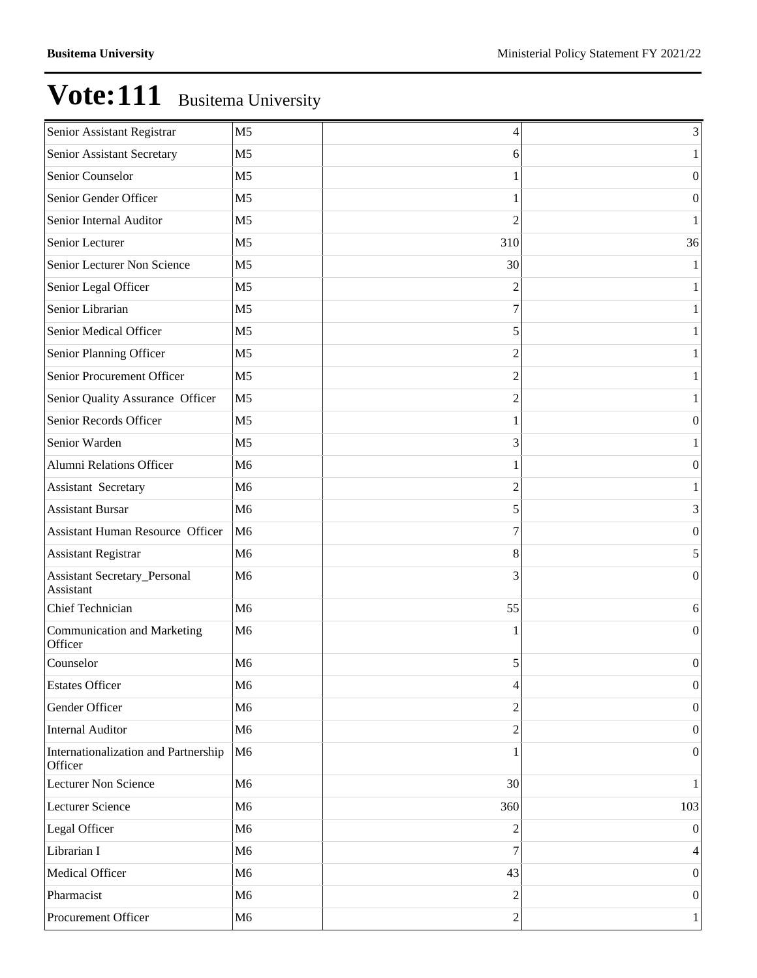| Senior Assistant Registrar                       | M <sub>5</sub> | 4              | 3                |
|--------------------------------------------------|----------------|----------------|------------------|
| Senior Assistant Secretary                       | M <sub>5</sub> | 6              | $\mathbf{1}$     |
| Senior Counselor                                 | M <sub>5</sub> |                | $\boldsymbol{0}$ |
| Senior Gender Officer                            | M <sub>5</sub> |                | $\boldsymbol{0}$ |
| Senior Internal Auditor                          | M <sub>5</sub> | $\overline{c}$ | 1                |
| Senior Lecturer                                  | M <sub>5</sub> | 310            | 36               |
| Senior Lecturer Non Science                      | M <sub>5</sub> | 30             | 1                |
| Senior Legal Officer                             | M <sub>5</sub> | 2              | $\mathbf{1}$     |
| Senior Librarian                                 | M <sub>5</sub> | 7              | 1                |
| Senior Medical Officer                           | M <sub>5</sub> | 5              | $\mathbf{1}$     |
| Senior Planning Officer                          | M <sub>5</sub> | 2              | 1                |
| Senior Procurement Officer                       | M <sub>5</sub> | 2              | $\mathbf{1}$     |
| Senior Quality Assurance Officer                 | M <sub>5</sub> | 2              | 1                |
| Senior Records Officer                           | M <sub>5</sub> |                | $\boldsymbol{0}$ |
| Senior Warden                                    | M <sub>5</sub> | 3              | 1                |
| Alumni Relations Officer                         | M <sub>6</sub> |                | $\boldsymbol{0}$ |
| <b>Assistant Secretary</b>                       | M <sub>6</sub> | $\overline{c}$ | 1                |
| <b>Assistant Bursar</b>                          | M <sub>6</sub> | 5              | 3                |
| <b>Assistant Human Resource Officer</b>          | M <sub>6</sub> | 7              | $\boldsymbol{0}$ |
| <b>Assistant Registrar</b>                       | M <sub>6</sub> | 8              | 5                |
| <b>Assistant Secretary_Personal</b><br>Assistant | M <sub>6</sub> | 3              | $\boldsymbol{0}$ |
| Chief Technician                                 | M <sub>6</sub> | 55             | 6                |
| Communication and Marketing<br>Officer           | M6             | 1              | $\boldsymbol{0}$ |
| Counselor                                        | M <sub>6</sub> | 5              | $\boldsymbol{0}$ |
| <b>Estates Officer</b>                           | M <sub>6</sub> | 4              | $\boldsymbol{0}$ |
| Gender Officer                                   | M <sub>6</sub> | $\overline{c}$ | $\boldsymbol{0}$ |
| Internal Auditor                                 | M6             | $\overline{c}$ | $\boldsymbol{0}$ |
| Internationalization and Partnership<br>Officer  | M <sub>6</sub> |                | $\boldsymbol{0}$ |
| Lecturer Non Science                             | M <sub>6</sub> | 30             | $\mathbf{1}$     |
| Lecturer Science                                 | M6             | 360            | 103              |
| Legal Officer                                    | M6             | 2              | $\boldsymbol{0}$ |
| Librarian I                                      | M6             | 7              | $\overline{4}$   |
| Medical Officer                                  | M6             | 43             | $\boldsymbol{0}$ |
| Pharmacist                                       | M6             | 2              | $\boldsymbol{0}$ |
| Procurement Officer                              | M6             | $\overline{c}$ | $\mathbf{1}$     |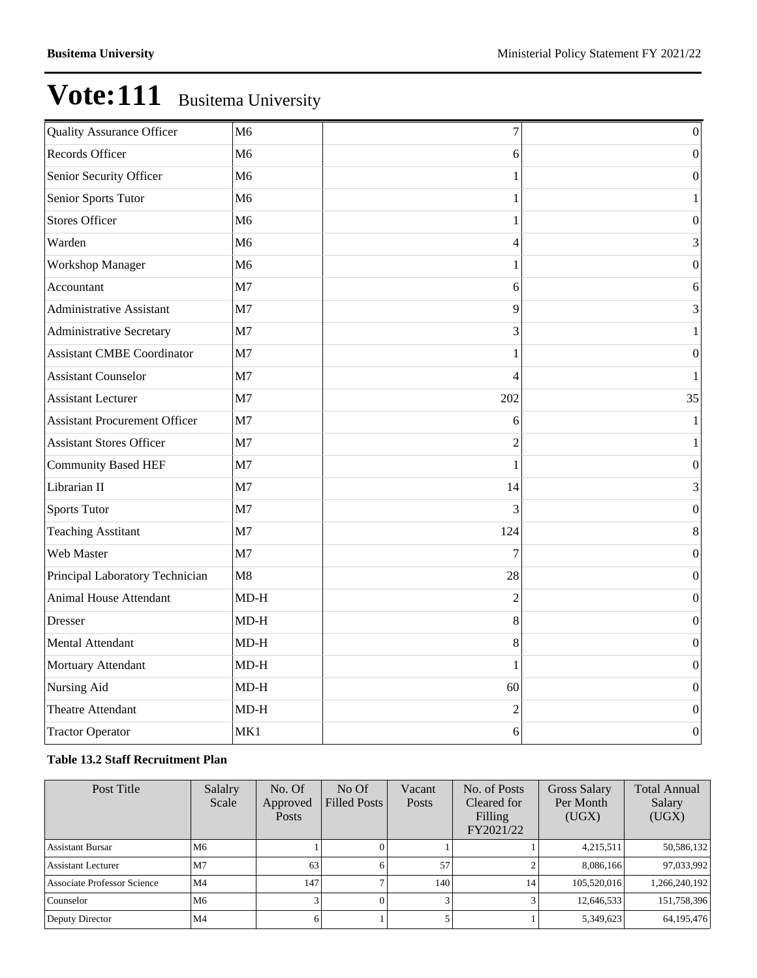| <b>Quality Assurance Officer</b>     | M <sub>6</sub> | $\overline{7}$ | $\boldsymbol{0}$ |
|--------------------------------------|----------------|----------------|------------------|
| Records Officer                      | M <sub>6</sub> | 6              | $\boldsymbol{0}$ |
| Senior Security Officer              | M6             | 1              | $\boldsymbol{0}$ |
| Senior Sports Tutor                  | M6             | 1              | 1                |
| <b>Stores Officer</b>                | M <sub>6</sub> | 1              | $\boldsymbol{0}$ |
| Warden                               | M6             | 4              | 3                |
| <b>Workshop Manager</b>              | M6             | 1              | $\boldsymbol{0}$ |
| Accountant                           | M7             | 6              | 6                |
| <b>Administrative Assistant</b>      | M <sub>7</sub> | 9              | 3                |
| <b>Administrative Secretary</b>      | M7             | 3              | 1                |
| <b>Assistant CMBE Coordinator</b>    | M7             | 1              | $\boldsymbol{0}$ |
| <b>Assistant Counselor</b>           | M <sub>7</sub> | 4              | 1                |
| <b>Assistant Lecturer</b>            | M <sub>7</sub> | 202            | 35               |
| <b>Assistant Procurement Officer</b> | M7             | 6              | $\mathbf{1}$     |
| <b>Assistant Stores Officer</b>      | M <sub>7</sub> | 2              | 1                |
| <b>Community Based HEF</b>           | M <sub>7</sub> |                | $\overline{0}$   |
| Librarian II                         | M <sub>7</sub> | 14             | 3                |
| <b>Sports Tutor</b>                  | M <sub>7</sub> | 3              | 0                |
| <b>Teaching Asstitant</b>            | M <sub>7</sub> | 124            | 8                |
| Web Master                           | M7             | 7              | $\boldsymbol{0}$ |
| Principal Laboratory Technician      | M8             | 28             | $\boldsymbol{0}$ |
| Animal House Attendant               | $MD-H$         | $\overline{2}$ | 0                |
| Dresser                              | $MD-H$         | 8              | $\boldsymbol{0}$ |
| <b>Mental Attendant</b>              | $MD-H$         | 8              | $\boldsymbol{0}$ |
| Mortuary Attendant                   | $MD-H$         | 1              | 0                |
| Nursing Aid                          | $MD-H$         | 60             | $\boldsymbol{0}$ |
| Theatre Attendant                    | $MD-H$         | $\overline{c}$ | $\boldsymbol{0}$ |
| <b>Tractor Operator</b>              | MK1            | 6              | $\boldsymbol{0}$ |

### **Table 13.2 Staff Recruitment Plan**

| Post Title                         | Salalry<br>Scale | No. Of<br>Approved<br><b>Posts</b> | No Of<br><b>Filled Posts</b> | Vacant<br><b>Posts</b> | No. of Posts<br>Cleared for<br>Filling<br>FY2021/22 | <b>Gross Salary</b><br>Per Month<br>(UGX) | <b>Total Annual</b><br>Salary<br>(UGX) |
|------------------------------------|------------------|------------------------------------|------------------------------|------------------------|-----------------------------------------------------|-------------------------------------------|----------------------------------------|
| <b>Assistant Bursar</b>            | M6               |                                    |                              |                        |                                                     | 4,215,511                                 | 50,586,132                             |
| Assistant Lecturer                 | M <sub>7</sub>   | 63                                 |                              | 57                     |                                                     | 8,086,166                                 | 97,033,992                             |
| <b>Associate Professor Science</b> | M4               | 147                                |                              | 140                    | 14                                                  | 105,520,016                               | 1,266,240,192                          |
| Counselor                          | M <sub>6</sub>   |                                    |                              |                        |                                                     | 12,646,533                                | 151,758,396                            |
| Deputy Director                    | M4               |                                    |                              |                        |                                                     | 5,349,623                                 | 64, 195, 476                           |